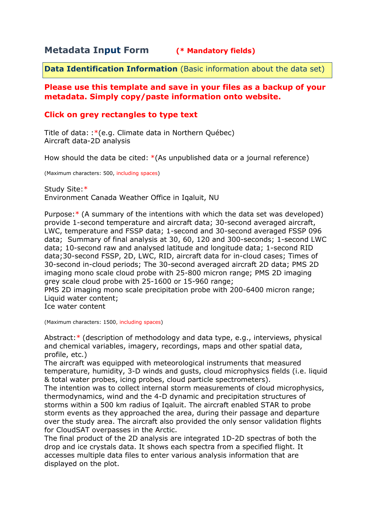# **Metadata Input Form (\* Mandatory fields)**

**Data Identification Information** (Basic information about the data set)

## **Please use this template and save in your files as a backup of your metadata. Simply copy/paste information onto website.**

## **Click on grey rectangles to type text**

Title of data: :\*(e.g. Climate data in Northern Québec) Aircraft data-2D analysis

How should the data be cited: \*(As unpublished data or a journal reference)

(Maximum characters: 500, including spaces)

Study Site:\* Environment Canada Weather Office in Iqaluit, NU

Purpose:\* (A summary of the intentions with which the data set was developed) provide 1-second temperature and aircraft data; 30-second averaged aircraft, LWC, temperature and FSSP data; 1-second and 30-second averaged FSSP 096 data; Summary of final analysis at 30, 60, 120 and 300-seconds; 1-second LWC data; 10-second raw and analysed latitude and longitude data; 1-second RID data;30-second FSSP, 2D, LWC, RID, aircraft data for in-cloud cases; Times of 30-second in-cloud periods; The 30-second averaged aircraft 2D data; PMS 2D imaging mono scale cloud probe with 25-800 micron range; PMS 2D imaging grey scale cloud probe with 25-1600 or 15-960 range;

PMS 2D imaging mono scale precipitation probe with 200-6400 micron range; Liquid water content;

Ice water content

(Maximum characters: 1500, including spaces)

Abstract:\* (description of methodology and data type, e.g., interviews, physical and chemical variables, imagery, recordings, maps and other spatial data, profile, etc.)

The aircraft was equipped with meteorological instruments that measured temperature, humidity, 3-D winds and gusts, cloud microphysics fields (i.e. liquid & total water probes, icing probes, cloud particle spectrometers).

The intention was to collect internal storm measurements of cloud microphysics, thermodynamics, wind and the 4-D dynamic and precipitation structures of storms within a 500 km radius of Iqaluit. The aircraft enabled STAR to probe storm events as they approached the area, during their passage and departure over the study area. The aircraft also provided the only sensor validation flights for CloudSAT overpasses in the Arctic.

The final product of the 2D analysis are integrated 1D-2D spectras of both the drop and ice crystals data. It shows each spectra from a specified flight. It accesses multiple data files to enter various analysis information that are displayed on the plot.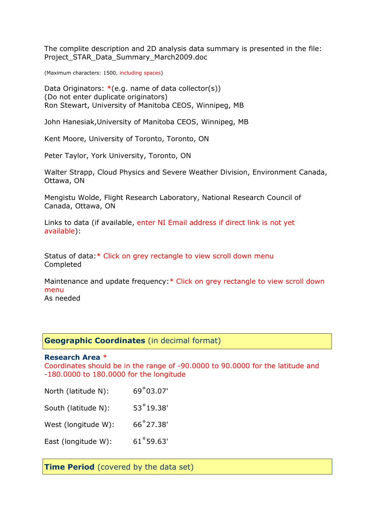The complite description and 2D analysis data summary is presented in the file: Project\_STAR\_Data\_Summary\_March2009.doc

(Maximum characters: 1500, including spaces)

Data Originators: \* (e.g. name of data collector(s)) (Do not enter duplicate originators) Ron Stewart, University of Manitoba CEOS, Winnipeg, MB

John Hanesiak,University of Manitoba CEOS, Winnipeg, MB

Kent Moore, University of Toronto, Toronto, ON

Peter Taylor, York University, Toronto, ON

Walter Strapp, Cloud Physics and Severe Weather Division, Environment Canada, Ottawa, ON

Mengistu Wolde, Flight Research Laboratory, National Research Council of Canada, Ottawa, ON

Links to data (if available, enter NI Email address if direct link is not yet available):

Status of data:\* Click on grey rectangle to view scroll down menu Completed

Maintenance and update frequency:\* Click on grey rectangle to view scroll down menu

As needed

### **Geographic Coordinates** (in decimal format)

#### **Research Area** \*

Coordinates should be in the range of -90.0000 to 90.0000 for the latitude and -180.0000 to 180.0000 for the longitude

| North (latitude N): | 69°03.07'          |
|---------------------|--------------------|
| South (latitude N): | $53^{\circ}19.38'$ |
| West (longitude W): | 66°27.38'          |
| East (longitude W): | 61°59.63'          |

**Time Period** (covered by the data set)